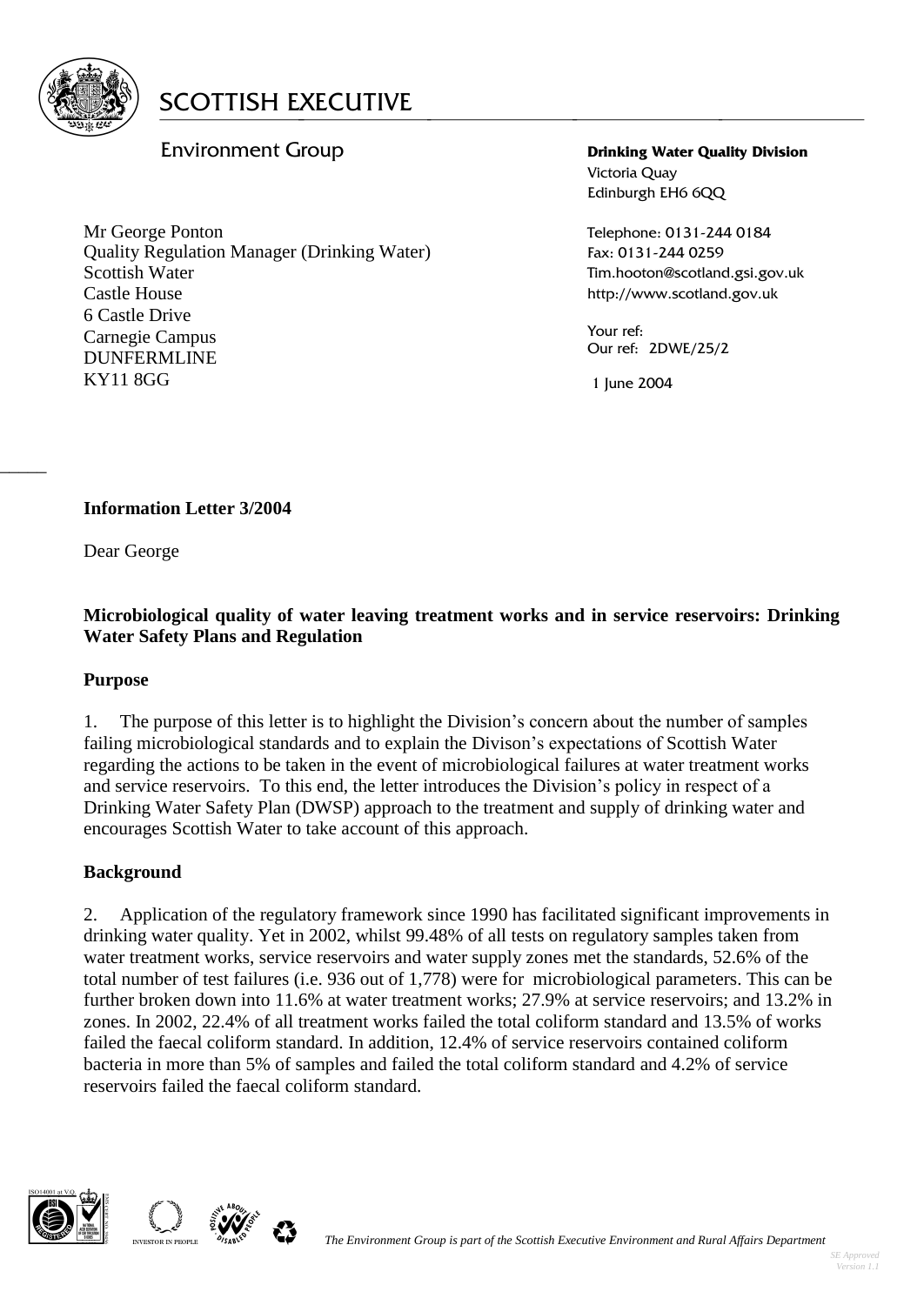

# Environment Group

Mr George Ponton Quality Regulation Manager (Drinking Water) Scottish Water Castle House 6 Castle Drive Carnegie Campus DUNFERMLINE KY11 8GG

**Drinking Water Quality Division** Victoria Quay Edinburgh EH6 6QQ

Telephone: 0131-244 0184 Fax: 0131-244 0259 Tim.hooton@scotland.gsi.gov.uk http://www.scotland.gov.uk

Your ref: Our ref: 2DWE/25/2

1 June 2004

## **Information Letter 3/2004**

Dear George

 $\overline{\phantom{a}}$ 

**Microbiological quality of water leaving treatment works and in service reservoirs: Drinking Water Safety Plans and Regulation**

#### **Purpose**

1. The purpose of this letter is to highlight the Division's concern about the number of samples failing microbiological standards and to explain the Divison's expectations of Scottish Water regarding the actions to be taken in the event of microbiological failures at water treatment works and service reservoirs. To this end, the letter introduces the Division's policy in respect of a Drinking Water Safety Plan (DWSP) approach to the treatment and supply of drinking water and encourages Scottish Water to take account of this approach.

#### **Background**

2. Application of the regulatory framework since 1990 has facilitated significant improvements in drinking water quality. Yet in 2002, whilst 99.48% of all tests on regulatory samples taken from water treatment works, service reservoirs and water supply zones met the standards, 52.6% of the total number of test failures (i.e. 936 out of 1,778) were for microbiological parameters. This can be further broken down into 11.6% at water treatment works; 27.9% at service reservoirs; and 13.2% in zones. In 2002, 22.4% of all treatment works failed the total coliform standard and 13.5% of works failed the faecal coliform standard. In addition, 12.4% of service reservoirs contained coliform bacteria in more than 5% of samples and failed the total coliform standard and 4.2% of service reservoirs failed the faecal coliform standard.



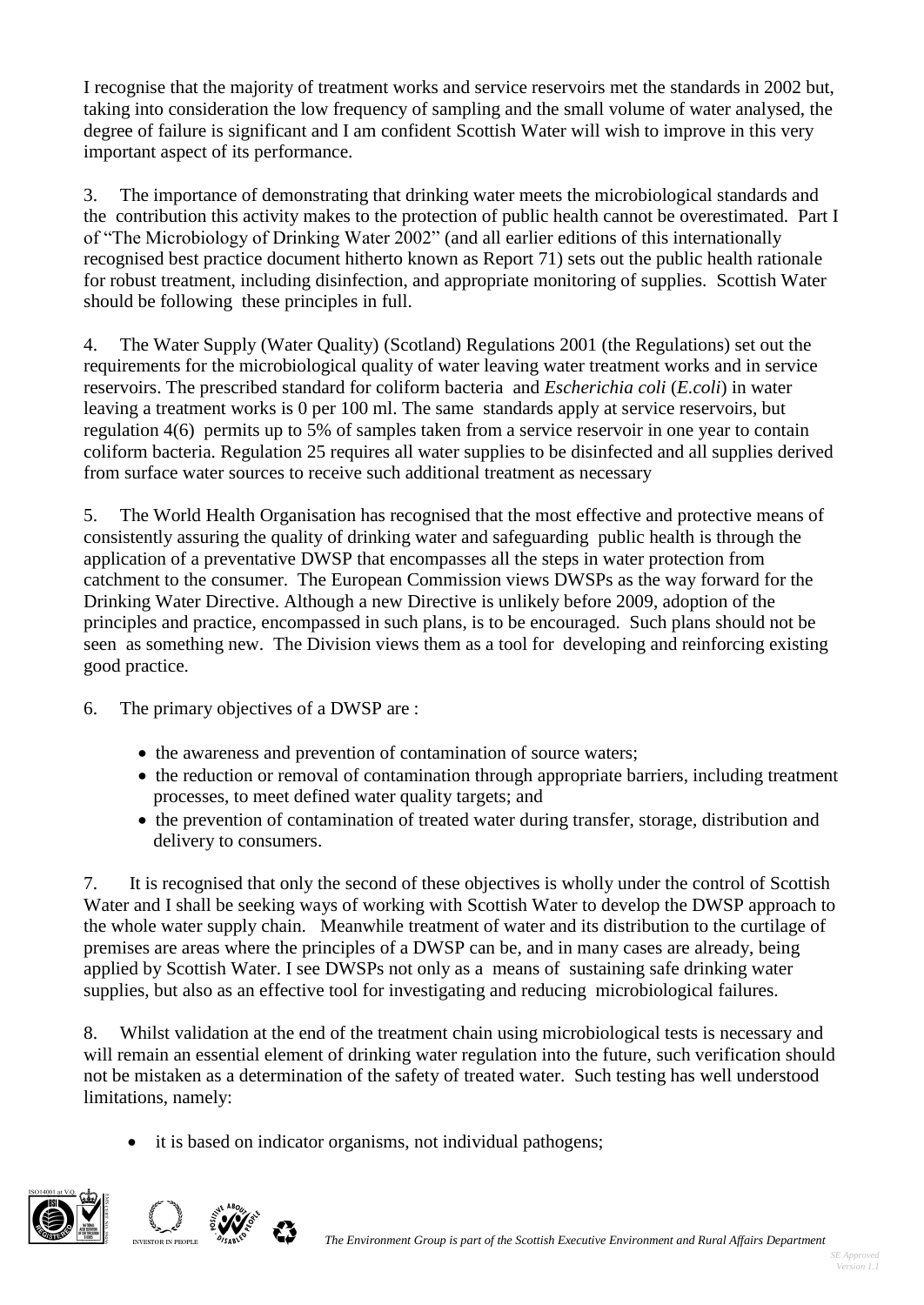I recognise that the majority of treatment works and service reservoirs met the standards in 2002 but, taking into consideration the low frequency of sampling and the small volume of water analysed, the degree of failure is significant and I am confident Scottish Water will wish to improve in this very important aspect of its performance.

3. The importance of demonstrating that drinking water meets the microbiological standards and the contribution this activity makes to the protection of public health cannot be overestimated. Part I of "The Microbiology of Drinking Water 2002" (and all earlier editions of this internationally recognised best practice document hitherto known as Report 71) sets out the public health rationale for robust treatment, including disinfection, and appropriate monitoring of supplies. Scottish Water should be following these principles in full.

4. The Water Supply (Water Quality) (Scotland) Regulations 2001 (the Regulations) set out the requirements for the microbiological quality of water leaving water treatment works and in service reservoirs. The prescribed standard for coliform bacteria and *Escherichia coli* (*E.coli*) in water leaving a treatment works is 0 per 100 ml. The same standards apply at service reservoirs, but regulation 4(6) permits up to 5% of samples taken from a service reservoir in one year to contain coliform bacteria. Regulation 25 requires all water supplies to be disinfected and all supplies derived from surface water sources to receive such additional treatment as necessary

5. The World Health Organisation has recognised that the most effective and protective means of consistently assuring the quality of drinking water and safeguarding public health is through the application of a preventative DWSP that encompasses all the steps in water protection from catchment to the consumer. The European Commission views DWSPs as the way forward for the Drinking Water Directive. Although a new Directive is unlikely before 2009, adoption of the principles and practice, encompassed in such plans, is to be encouraged. Such plans should not be seen as something new. The Division views them as a tool for developing and reinforcing existing good practice.

- 6. The primary objectives of a DWSP are :
	- the awareness and prevention of contamination of source waters;
	- the reduction or removal of contamination through appropriate barriers, including treatment processes, to meet defined water quality targets; and
	- the prevention of contamination of treated water during transfer, storage, distribution and delivery to consumers.

7. It is recognised that only the second of these objectives is wholly under the control of Scottish Water and I shall be seeking ways of working with Scottish Water to develop the DWSP approach to the whole water supply chain. Meanwhile treatment of water and its distribution to the curtilage of premises are areas where the principles of a DWSP can be, and in many cases are already, being applied by Scottish Water. I see DWSPs not only as a means of sustaining safe drinking water supplies, but also as an effective tool for investigating and reducing microbiological failures.

8. Whilst validation at the end of the treatment chain using microbiological tests is necessary and will remain an essential element of drinking water regulation into the future, such verification should not be mistaken as a determination of the safety of treated water. Such testing has well understood limitations, namely:

• it is based on indicator organisms, not individual pathogens;



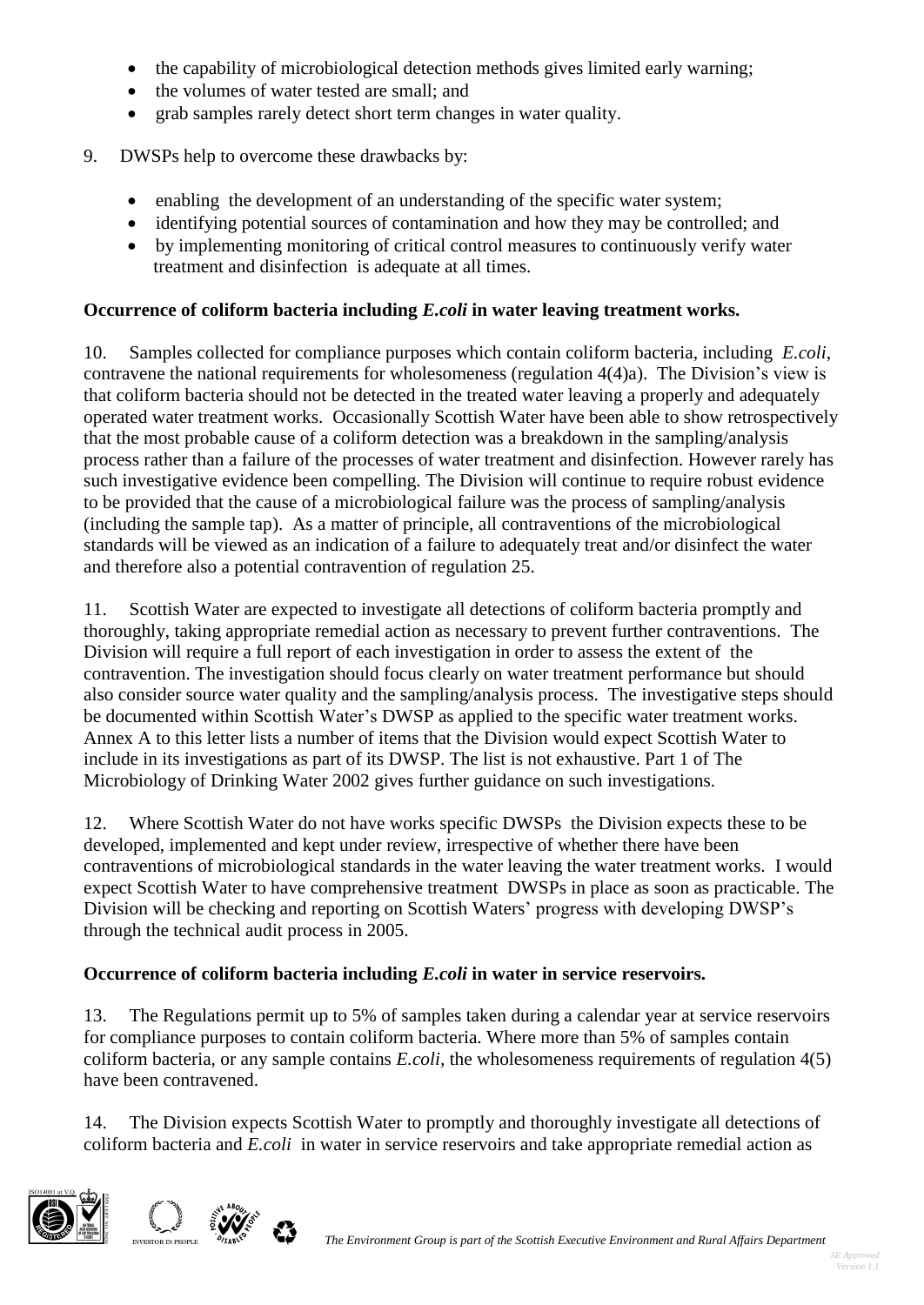- the capability of microbiological detection methods gives limited early warning;
- the volumes of water tested are small; and
- grab samples rarely detect short term changes in water quality.
- 9. DWSPs help to overcome these drawbacks by:
	- enabling the development of an understanding of the specific water system;
	- identifying potential sources of contamination and how they may be controlled; and
	- by implementing monitoring of critical control measures to continuously verify water treatment and disinfection is adequate at all times.

# **Occurrence of coliform bacteria including** *E.coli* **in water leaving treatment works.**

10. Samples collected for compliance purposes which contain coliform bacteria, including *E.coli*, contravene the national requirements for wholesomeness (regulation 4(4)a). The Division's view is that coliform bacteria should not be detected in the treated water leaving a properly and adequately operated water treatment works. Occasionally Scottish Water have been able to show retrospectively that the most probable cause of a coliform detection was a breakdown in the sampling/analysis process rather than a failure of the processes of water treatment and disinfection. However rarely has such investigative evidence been compelling. The Division will continue to require robust evidence to be provided that the cause of a microbiological failure was the process of sampling/analysis (including the sample tap). As a matter of principle, all contraventions of the microbiological standards will be viewed as an indication of a failure to adequately treat and/or disinfect the water and therefore also a potential contravention of regulation 25.

11. Scottish Water are expected to investigate all detections of coliform bacteria promptly and thoroughly, taking appropriate remedial action as necessary to prevent further contraventions. The Division will require a full report of each investigation in order to assess the extent of the contravention. The investigation should focus clearly on water treatment performance but should also consider source water quality and the sampling/analysis process. The investigative steps should be documented within Scottish Water's DWSP as applied to the specific water treatment works. Annex A to this letter lists a number of items that the Division would expect Scottish Water to include in its investigations as part of its DWSP. The list is not exhaustive. Part 1 of The Microbiology of Drinking Water 2002 gives further guidance on such investigations.

12. Where Scottish Water do not have works specific DWSPs the Division expects these to be developed, implemented and kept under review, irrespective of whether there have been contraventions of microbiological standards in the water leaving the water treatment works. I would expect Scottish Water to have comprehensive treatment DWSPs in place as soon as practicable. The Division will be checking and reporting on Scottish Waters' progress with developing DWSP's through the technical audit process in 2005.

# **Occurrence of coliform bacteria including** *E.coli* **in water in service reservoirs.**

13. The Regulations permit up to 5% of samples taken during a calendar year at service reservoirs for compliance purposes to contain coliform bacteria. Where more than 5% of samples contain coliform bacteria, or any sample contains *E.coli,* the wholesomeness requirements of regulation 4(5) have been contravened.

14. The Division expects Scottish Water to promptly and thoroughly investigate all detections of coliform bacteria and *E.coli* in water in service reservoirs and take appropriate remedial action as



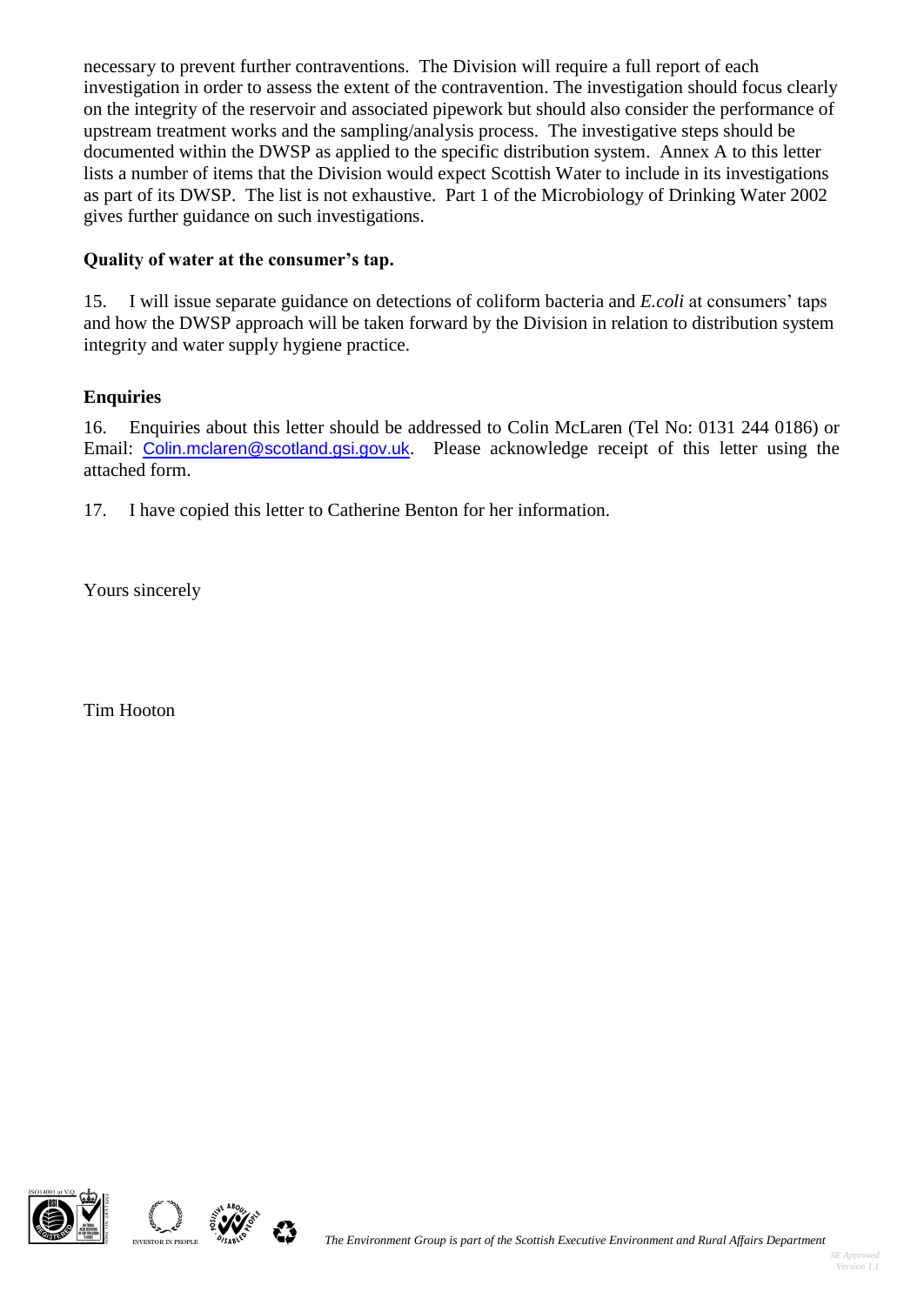necessary to prevent further contraventions. The Division will require a full report of each investigation in order to assess the extent of the contravention. The investigation should focus clearly on the integrity of the reservoir and associated pipework but should also consider the performance of upstream treatment works and the sampling/analysis process. The investigative steps should be documented within the DWSP as applied to the specific distribution system. Annex A to this letter lists a number of items that the Division would expect Scottish Water to include in its investigations as part of its DWSP. The list is not exhaustive. Part 1 of the Microbiology of Drinking Water 2002 gives further guidance on such investigations.

### **Quality of water at the consumer's tap.**

15. I will issue separate guidance on detections of coliform bacteria and *E.coli* at consumers' taps and how the DWSP approach will be taken forward by the Division in relation to distribution system integrity and water supply hygiene practice.

#### **Enquiries**

16. Enquiries about this letter should be addressed to Colin McLaren (Tel No: 0131 244 0186) or Email: [Colin.mclaren@scotland.gsi.gov.uk](mailto:Colin.mclaren@scotland.gsi.gov.uk). Please acknowledge receipt of this letter using the attached form.

17. I have copied this letter to Catherine Benton for her information.

Yours sincerely

Tim Hooton



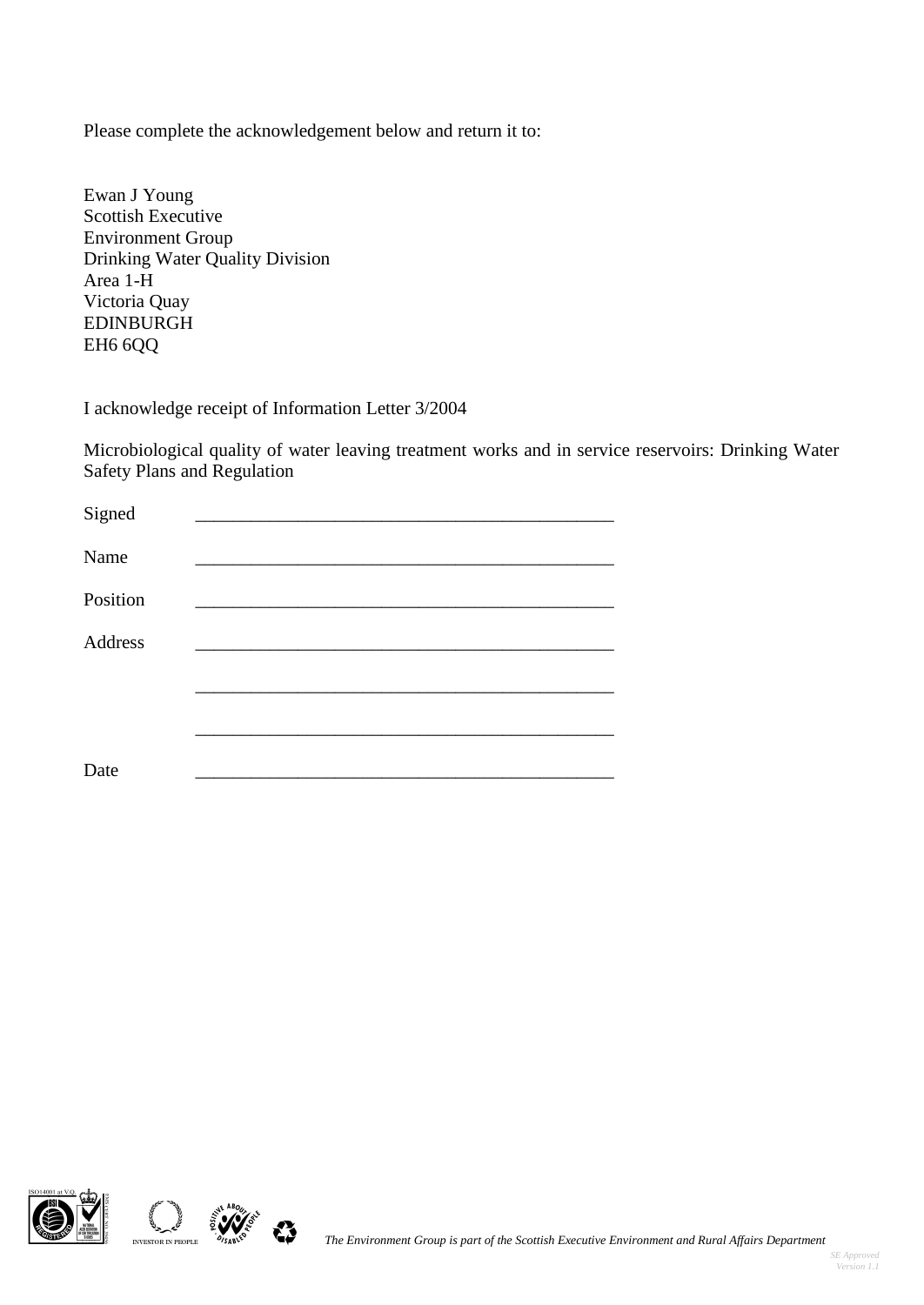Please complete the acknowledgement below and return it to:

Ewan J Young Scottish Executive Environment Group Drinking Water Quality Division Area 1-H Victoria Quay EDINBURGH EH6 6QQ

I acknowledge receipt of Information Letter 3/2004

Microbiological quality of water leaving treatment works and in service reservoirs: Drinking Water Safety Plans and Regulation

| Signed   |  |
|----------|--|
|          |  |
| Name     |  |
| Position |  |
|          |  |
| Address  |  |
|          |  |
|          |  |
|          |  |
|          |  |
| Date     |  |
|          |  |



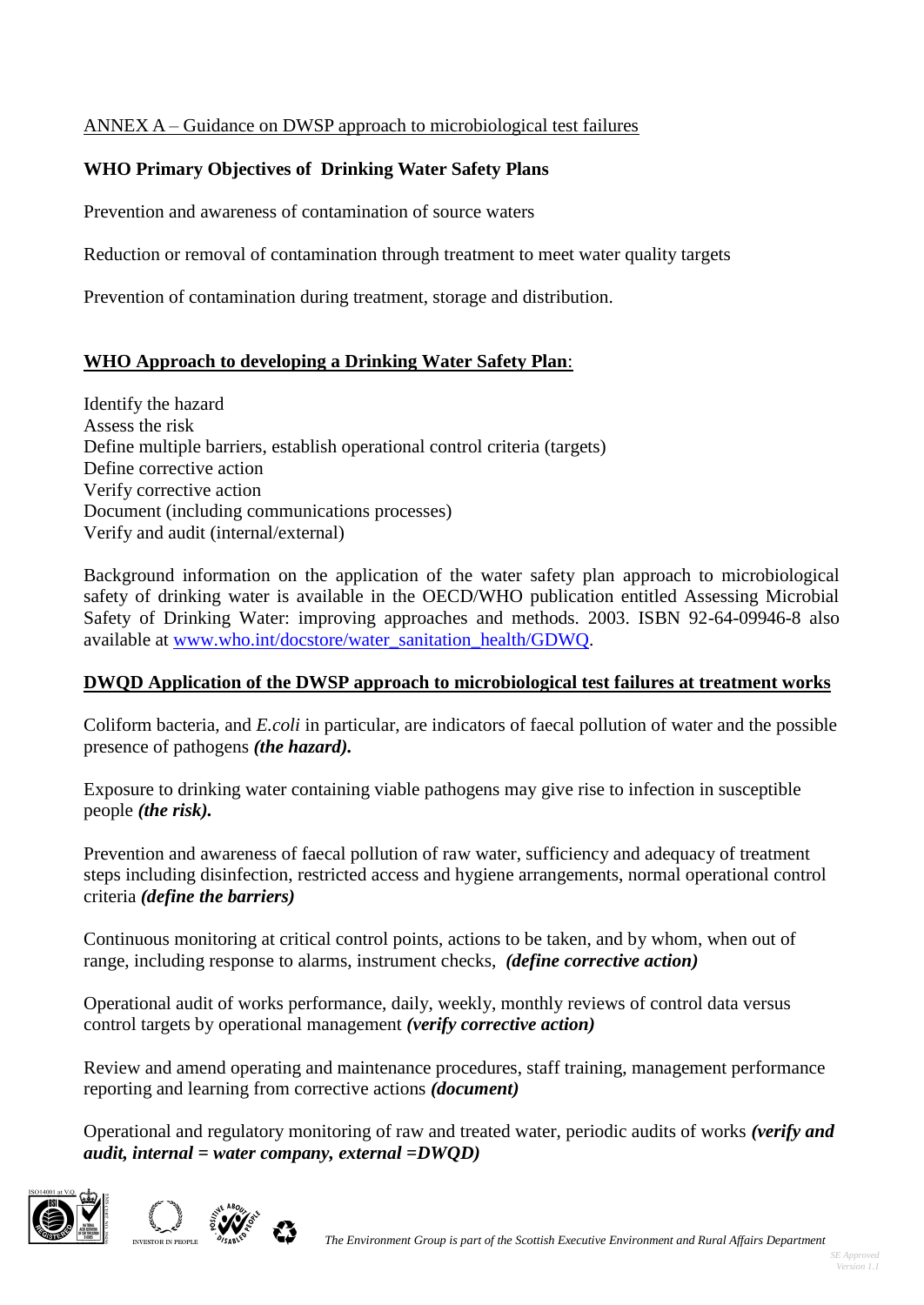ANNEX A – Guidance on DWSP approach to microbiological test failures

# **WHO Primary Objectives of Drinking Water Safety Plans**

Prevention and awareness of contamination of source waters

Reduction or removal of contamination through treatment to meet water quality targets

Prevention of contamination during treatment, storage and distribution.

## **WHO Approach to developing a Drinking Water Safety Plan**:

Identify the hazard Assess the risk Define multiple barriers, establish operational control criteria (targets) Define corrective action Verify corrective action Document (including communications processes) Verify and audit (internal/external)

Background information on the application of the water safety plan approach to microbiological safety of drinking water is available in the OECD/WHO publication entitled Assessing Microbial Safety of Drinking Water: improving approaches and methods. 2003. ISBN 92-64-09946-8 also available at [www.who.int/docstore/water\\_sanitation\\_health/GDWQ.](http://www.who.int/docstore/water_sanitation_health/GDWQ)

## **DWQD Application of the DWSP approach to microbiological test failures at treatment works**

Coliform bacteria, and *E.coli* in particular, are indicators of faecal pollution of water and the possible presence of pathogens *(the hazard).*

Exposure to drinking water containing viable pathogens may give rise to infection in susceptible people *(the risk).*

Prevention and awareness of faecal pollution of raw water, sufficiency and adequacy of treatment steps including disinfection, restricted access and hygiene arrangements, normal operational control criteria *(define the barriers)*

Continuous monitoring at critical control points, actions to be taken, and by whom, when out of range, including response to alarms, instrument checks, *(define corrective action)*

Operational audit of works performance, daily, weekly, monthly reviews of control data versus control targets by operational management *(verify corrective action)*

Review and amend operating and maintenance procedures, staff training, management performance reporting and learning from corrective actions *(document)*

Operational and regulatory monitoring of raw and treated water, periodic audits of works *(verify and audit, internal = water company, external =DWQD)*



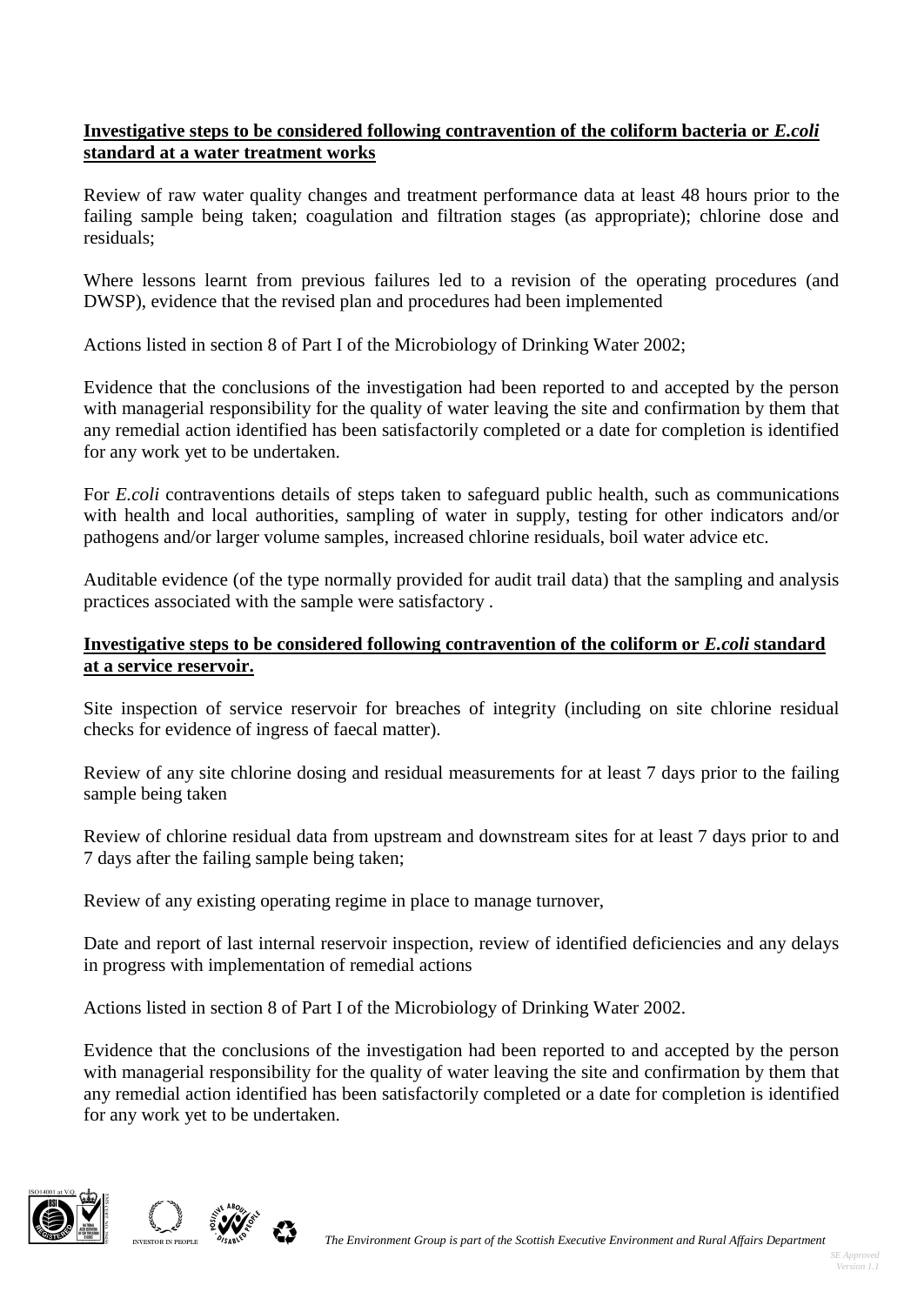#### **Investigative steps to be considered following contravention of the coliform bacteria or** *E.coli* **standard at a water treatment works**

Review of raw water quality changes and treatment performance data at least 48 hours prior to the failing sample being taken; coagulation and filtration stages (as appropriate); chlorine dose and residuals;

Where lessons learnt from previous failures led to a revision of the operating procedures (and DWSP), evidence that the revised plan and procedures had been implemented

Actions listed in section 8 of Part I of the Microbiology of Drinking Water 2002;

Evidence that the conclusions of the investigation had been reported to and accepted by the person with managerial responsibility for the quality of water leaving the site and confirmation by them that any remedial action identified has been satisfactorily completed or a date for completion is identified for any work yet to be undertaken.

For *E.coli* contraventions details of steps taken to safeguard public health, such as communications with health and local authorities, sampling of water in supply, testing for other indicators and/or pathogens and/or larger volume samples, increased chlorine residuals, boil water advice etc.

Auditable evidence (of the type normally provided for audit trail data) that the sampling and analysis practices associated with the sample were satisfactory .

#### **Investigative steps to be considered following contravention of the coliform or** *E.coli* **standard at a service reservoir.**

Site inspection of service reservoir for breaches of integrity (including on site chlorine residual checks for evidence of ingress of faecal matter).

Review of any site chlorine dosing and residual measurements for at least 7 days prior to the failing sample being taken

Review of chlorine residual data from upstream and downstream sites for at least 7 days prior to and 7 days after the failing sample being taken;

Review of any existing operating regime in place to manage turnover,

Date and report of last internal reservoir inspection, review of identified deficiencies and any delays in progress with implementation of remedial actions

Actions listed in section 8 of Part I of the Microbiology of Drinking Water 2002.

Evidence that the conclusions of the investigation had been reported to and accepted by the person with managerial responsibility for the quality of water leaving the site and confirmation by them that any remedial action identified has been satisfactorily completed or a date for completion is identified for any work yet to be undertaken.